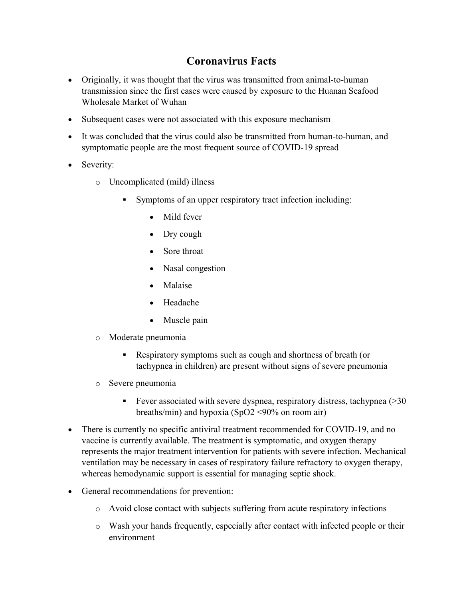## **Coronavirus Facts**

- Originally, it was thought that the virus was transmitted from animal-to-human transmission since the first cases were caused by exposure to the Huanan Seafood Wholesale Market of Wuhan
- Subsequent cases were not associated with this exposure mechanism
- It was concluded that the virus could also be transmitted from human-to-human, and symptomatic people are the most frequent source of COVID-19 spread
- Severity:
	- o Uncomplicated (mild) illness
		- Symptoms of an upper respiratory tract infection including:
			- Mild fever
			- Dry cough
			- Sore throat
			- Nasal congestion
			- Malaise
			- Headache
			- Muscle pain
	- o Moderate pneumonia
		- Respiratory symptoms such as cough and shortness of breath (or tachypnea in children) are present without signs of severe pneumonia
	- o Severe pneumonia
		- Fever associated with severe dyspnea, respiratory distress, tachypnea  $(>= 30$ breaths/min) and hypoxia (SpO2 <90% on room air)
- There is currently no specific antiviral treatment recommended for COVID-19, and no vaccine is currently available. The treatment is symptomatic, and oxygen therapy represents the major treatment intervention for patients with severe infection. Mechanical ventilation may be necessary in cases of respiratory failure refractory to oxygen therapy, whereas hemodynamic support is essential for managing septic shock.
- General recommendations for prevention:
	- o Avoid close contact with subjects suffering from acute respiratory infections
	- o Wash your hands frequently, especially after contact with infected people or their environment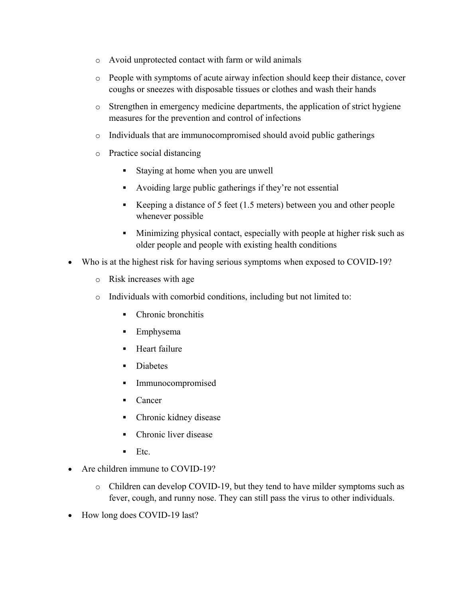- o Avoid unprotected contact with farm or wild animals
- o People with symptoms of acute airway infection should keep their distance, cover coughs or sneezes with disposable tissues or clothes and wash their hands
- o Strengthen in emergency medicine departments, the application of strict hygiene measures for the prevention and control of infections
- o Individuals that are immunocompromised should avoid public gatherings
- o Practice social distancing
	- Staying at home when you are unwell
	- Avoiding large public gatherings if they're not essential
	- Keeping a distance of 5 feet (1.5 meters) between you and other people whenever possible
	- Minimizing physical contact, especially with people at higher risk such as older people and people with existing health conditions
- Who is at the highest risk for having serious symptoms when exposed to COVID-19?
	- o Risk increases with age
	- o Individuals with comorbid conditions, including but not limited to:
		- Chronic bronchitis
		- Emphysema
		- **Heart failure**
		- **Diabetes**
		- **Immunocompromised**
		- Cancer
		- Chronic kidney disease
		- Chronic liver disease
		- $\blacksquare$  Etc.
- Are children immune to COVID-19?
	- o Children can develop COVID-19, but they tend to have milder symptoms such as fever, cough, and runny nose. They can still pass the virus to other individuals.
- How long does COVID-19 last?